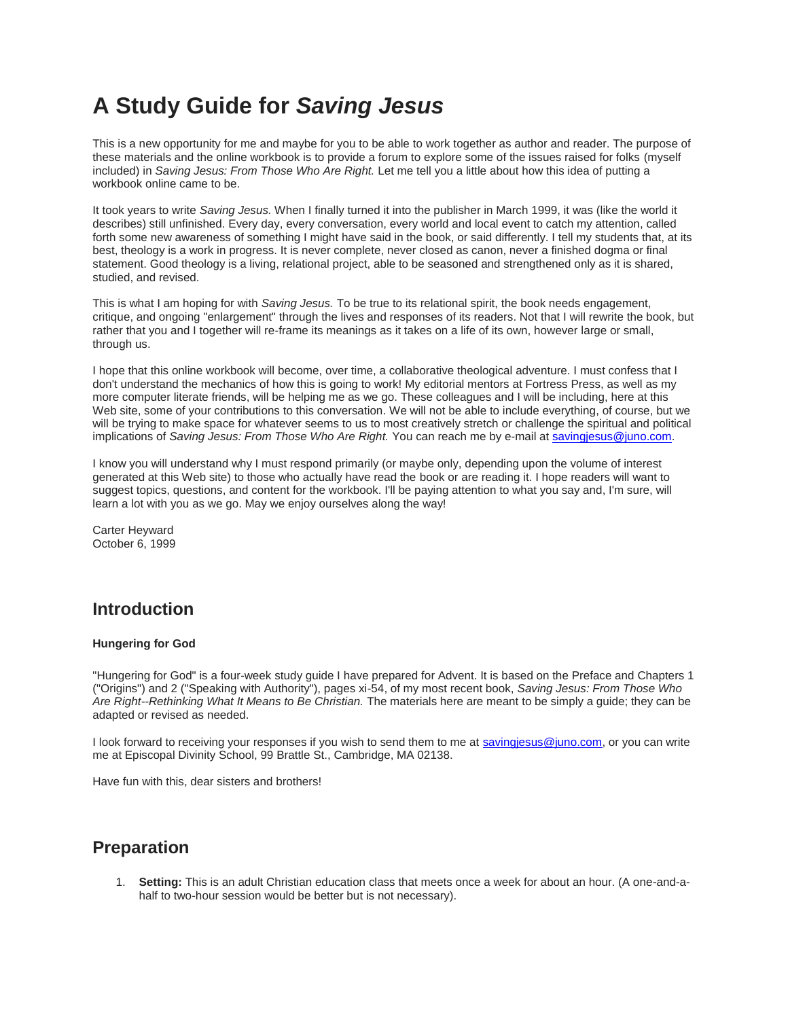# **A Study Guide for** *Saving Jesus*

This is a new opportunity for me and maybe for you to be able to work together as author and reader. The purpose of these materials and the online workbook is to provide a forum to explore some of the issues raised for folks (myself included) in *Saving Jesus: From Those Who Are Right.* Let me tell you a little about how this idea of putting a workbook online came to be.

It took years to write *Saving Jesus.* When I finally turned it into the publisher in March 1999, it was (like the world it describes) still unfinished. Every day, every conversation, every world and local event to catch my attention, called forth some new awareness of something I might have said in the book, or said differently. I tell my students that, at its best, theology is a work in progress. It is never complete, never closed as canon, never a finished dogma or final statement. Good theology is a living, relational project, able to be seasoned and strengthened only as it is shared, studied, and revised.

This is what I am hoping for with *Saving Jesus.* To be true to its relational spirit, the book needs engagement, critique, and ongoing "enlargement" through the lives and responses of its readers. Not that I will rewrite the book, but rather that you and I together will re-frame its meanings as it takes on a life of its own, however large or small, through us.

I hope that this online workbook will become, over time, a collaborative theological adventure. I must confess that I don't understand the mechanics of how this is going to work! My editorial mentors at Fortress Press, as well as my more computer literate friends, will be helping me as we go. These colleagues and I will be including, here at this Web site, some of your contributions to this conversation. We will not be able to include everything, of course, but we will be trying to make space for whatever seems to us to most creatively stretch or challenge the spiritual and political implications of *Saving Jesus: From Those Who Are Right.* You can reach me by e-mail at [savingjesus@juno.com.](mailto:savingjesus@juno.com)

I know you will understand why I must respond primarily (or maybe only, depending upon the volume of interest generated at this Web site) to those who actually have read the book or are reading it. I hope readers will want to suggest topics, questions, and content for the workbook. I'll be paying attention to what you say and, I'm sure, will learn a lot with you as we go. May we enjoy ourselves along the way!

Carter Heyward October 6, 1999

# **Introduction**

### **Hungering for God**

"Hungering for God" is a four-week study guide I have prepared for Advent. It is based on the Preface and Chapters 1 ("Origins") and 2 ("Speaking with Authority"), pages xi-54, of my most recent book, *Saving Jesus: From Those Who Are Right--Rethinking What It Means to Be Christian.* The materials here are meant to be simply a guide; they can be adapted or revised as needed.

I look forward to receiving your responses if you wish to send them to me at savingiesus@juno.com, or you can write me at Episcopal Divinity School, 99 Brattle St., Cambridge, MA 02138.

Have fun with this, dear sisters and brothers!

## **Preparation**

1. **Setting:** This is an adult Christian education class that meets once a week for about an hour. (A one-and-ahalf to two-hour session would be better but is not necessary).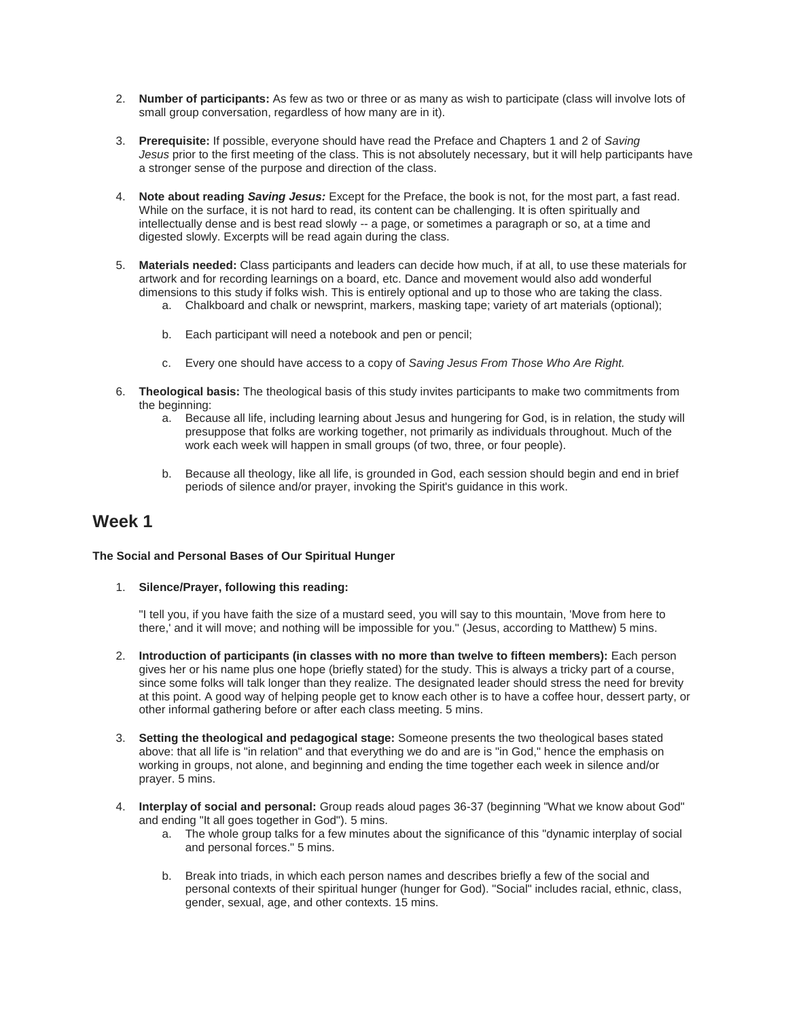- 2. **Number of participants:** As few as two or three or as many as wish to participate (class will involve lots of small group conversation, regardless of how many are in it).
- 3. **Prerequisite:** If possible, everyone should have read the Preface and Chapters 1 and 2 of *Saving Jesus* prior to the first meeting of the class. This is not absolutely necessary, but it will help participants have a stronger sense of the purpose and direction of the class.
- 4. **Note about reading** *Saving Jesus:* Except for the Preface, the book is not, for the most part, a fast read. While on the surface, it is not hard to read, its content can be challenging. It is often spiritually and intellectually dense and is best read slowly -- a page, or sometimes a paragraph or so, at a time and digested slowly. Excerpts will be read again during the class.
- 5. **Materials needed:** Class participants and leaders can decide how much, if at all, to use these materials for artwork and for recording learnings on a board, etc. Dance and movement would also add wonderful dimensions to this study if folks wish. This is entirely optional and up to those who are taking the class.
	- a. Chalkboard and chalk or newsprint, markers, masking tape; variety of art materials (optional);
	- b. Each participant will need a notebook and pen or pencil;
	- c. Every one should have access to a copy of *Saving Jesus From Those Who Are Right.*
- 6. **Theological basis:** The theological basis of this study invites participants to make two commitments from the beginning:
	- a. Because all life, including learning about Jesus and hungering for God, is in relation, the study will presuppose that folks are working together, not primarily as individuals throughout. Much of the work each week will happen in small groups (of two, three, or four people).
	- b. Because all theology, like all life, is grounded in God, each session should begin and end in brief periods of silence and/or prayer, invoking the Spirit's guidance in this work.

### **Week 1**

### **The Social and Personal Bases of Our Spiritual Hunger**

### 1. **Silence/Prayer, following this reading:**

"I tell you, if you have faith the size of a mustard seed, you will say to this mountain, 'Move from here to there,' and it will move; and nothing will be impossible for you." (Jesus, according to Matthew) 5 mins.

- 2. **Introduction of participants (in classes with no more than twelve to fifteen members):** Each person gives her or his name plus one hope (briefly stated) for the study. This is always a tricky part of a course, since some folks will talk longer than they realize. The designated leader should stress the need for brevity at this point. A good way of helping people get to know each other is to have a coffee hour, dessert party, or other informal gathering before or after each class meeting. 5 mins.
- 3. **Setting the theological and pedagogical stage:** Someone presents the two theological bases stated above: that all life is "in relation" and that everything we do and are is "in God," hence the emphasis on working in groups, not alone, and beginning and ending the time together each week in silence and/or prayer. 5 mins.
- 4. **Interplay of social and personal:** Group reads aloud pages 36-37 (beginning "What we know about God" and ending "It all goes together in God"). 5 mins.
	- a. The whole group talks for a few minutes about the significance of this "dynamic interplay of social and personal forces." 5 mins.
	- b. Break into triads, in which each person names and describes briefly a few of the social and personal contexts of their spiritual hunger (hunger for God). "Social" includes racial, ethnic, class, gender, sexual, age, and other contexts. 15 mins.